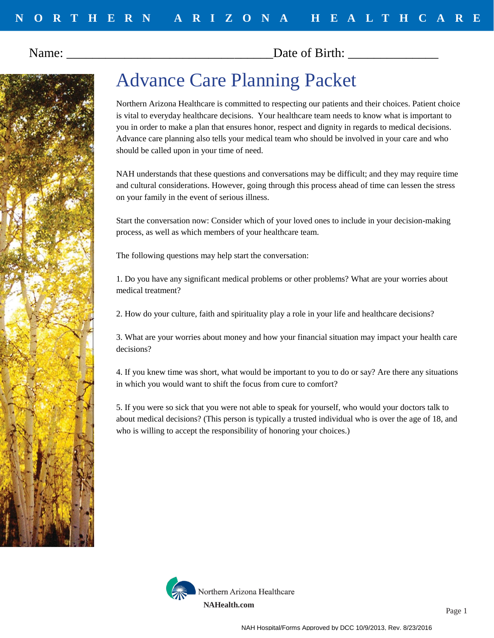Name: Date of Birth:



## Advance Care Planning Packet

Northern Arizona Healthcare is committed to respecting our patients and their choices. Patient choice is vital to everyday healthcare decisions. Your healthcare team needs to know what is important to you in order to make a plan that ensures honor, respect and dignity in regards to medical decisions. Advance care planning also tells your medical team who should be involved in your care and who should be called upon in your time of need.

NAH understands that these questions and conversations may be difficult; and they may require time and cultural considerations. However, going through this process ahead of time can lessen the stress on your family in the event of serious illness.

Start the conversation now: Consider which of your loved ones to include in your decision-making process, as well as which members of your healthcare team.

The following questions may help start the conversation:

1. Do you have any significant medical problems or other problems? What are your worries about medical treatment?

2. How do your culture, faith and spirituality play a role in your life and healthcare decisions?

3. What are your worries about money and how your financial situation may impact your health care decisions?

4. If you knew time was short, what would be important to you to do or say? Are there any situations in which you would want to shift the focus from cure to comfort?

5. If you were so sick that you were not able to speak for yourself, who would your doctors talk to about medical decisions? (This person is typically a trusted individual who is over the age of 18, and who is willing to accept the responsibility of honoring your choices.)

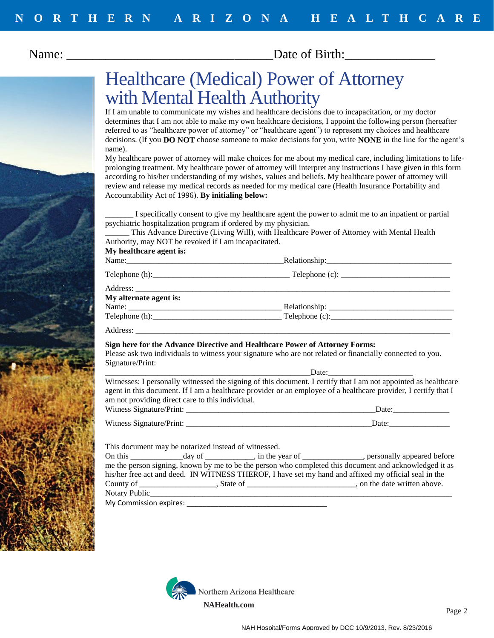Name: Solution and Date of Birth:



### Healthcare (Medical) Power of Attorney with Mental Health Authority

If I am unable to communicate my wishes and healthcare decisions due to incapacitation, or my doctor determines that I am not able to make my own healthcare decisions, I appoint the following person (hereafter referred to as "healthcare power of attorney" or "healthcare agent") to represent my choices and healthcare decisions. (If you **DO NOT** choose someone to make decisions for you, write **NONE** in the line for the agent's name).

My healthcare power of attorney will make choices for me about my medical care, including limitations to lifeprolonging treatment. My healthcare power of attorney will interpret any instructions I have given in this form according to his/her understanding of my wishes, values and beliefs. My healthcare power of attorney will review and release my medical records as needed for my medical care (Health Insurance Portability and Accountability Act of 1996). **By initialing below:**

\_\_\_\_\_\_\_ I specifically consent to give my healthcare agent the power to admit me to an inpatient or partial psychiatric hospitalization program if ordered by my physician.

\_\_\_\_\_\_ This Advance Directive (Living Will), with Healthcare Power of Attorney with Mental Health Authority, may NOT be revoked if I am incapacitated.

| $\cdots$ , accountance $\cdots$ |  |  |  |
|---------------------------------|--|--|--|
|                                 |  |  |  |
| My alternate agent is:          |  |  |  |
|                                 |  |  |  |
|                                 |  |  |  |
|                                 |  |  |  |

### **Sign here for the Advance Directive and Healthcare Power of Attorney Forms:**

Please ask two individuals to witness your signature who are not related or financially connected to you. Signature/Print:

\_\_\_\_\_\_\_\_\_\_\_\_\_\_\_\_\_\_\_\_\_\_\_\_\_\_\_\_\_\_\_\_\_\_\_\_\_\_\_\_\_\_\_\_\_\_\_\_\_\_\_Date:\_\_\_\_\_\_\_\_\_\_\_\_\_\_\_\_\_\_\_\_\_ Witnesses: I personally witnessed the signing of this document. I certify that I am not appointed as healthcare agent in this document. If I am a healthcare provider or an employee of a healthcare provider, I certify that I am not providing direct care to this individual. Witness Signature/Print: \_\_\_\_\_\_\_\_\_\_\_\_\_\_\_\_\_\_\_\_\_\_\_\_\_\_\_\_\_\_\_\_\_\_\_\_\_\_\_\_\_\_\_\_\_\_\_Date:\_\_\_\_\_\_\_\_\_\_\_\_\_\_

This document may be notarized instead of witnessed.

| On this the control of the control of the control of the control of the control of the control of the control o |                                                                                                                 | $\alpha$ day of $\alpha$ , in the year of $\alpha$ , personally appeared before                        |
|-----------------------------------------------------------------------------------------------------------------|-----------------------------------------------------------------------------------------------------------------|--------------------------------------------------------------------------------------------------------|
|                                                                                                                 |                                                                                                                 | me the person signing, known by me to be the person who completed this document and acknowledged it as |
|                                                                                                                 |                                                                                                                 | his/her free act and deed. IN WITNESS THEROF, I have set my hand and affixed my official seal in the   |
| County of _________________                                                                                     | State of the state of the state of the state of the state of the state of the state of the state of the state o | on the date written above.                                                                             |
| Notary Public                                                                                                   |                                                                                                                 |                                                                                                        |
| My Commission expires:                                                                                          |                                                                                                                 |                                                                                                        |